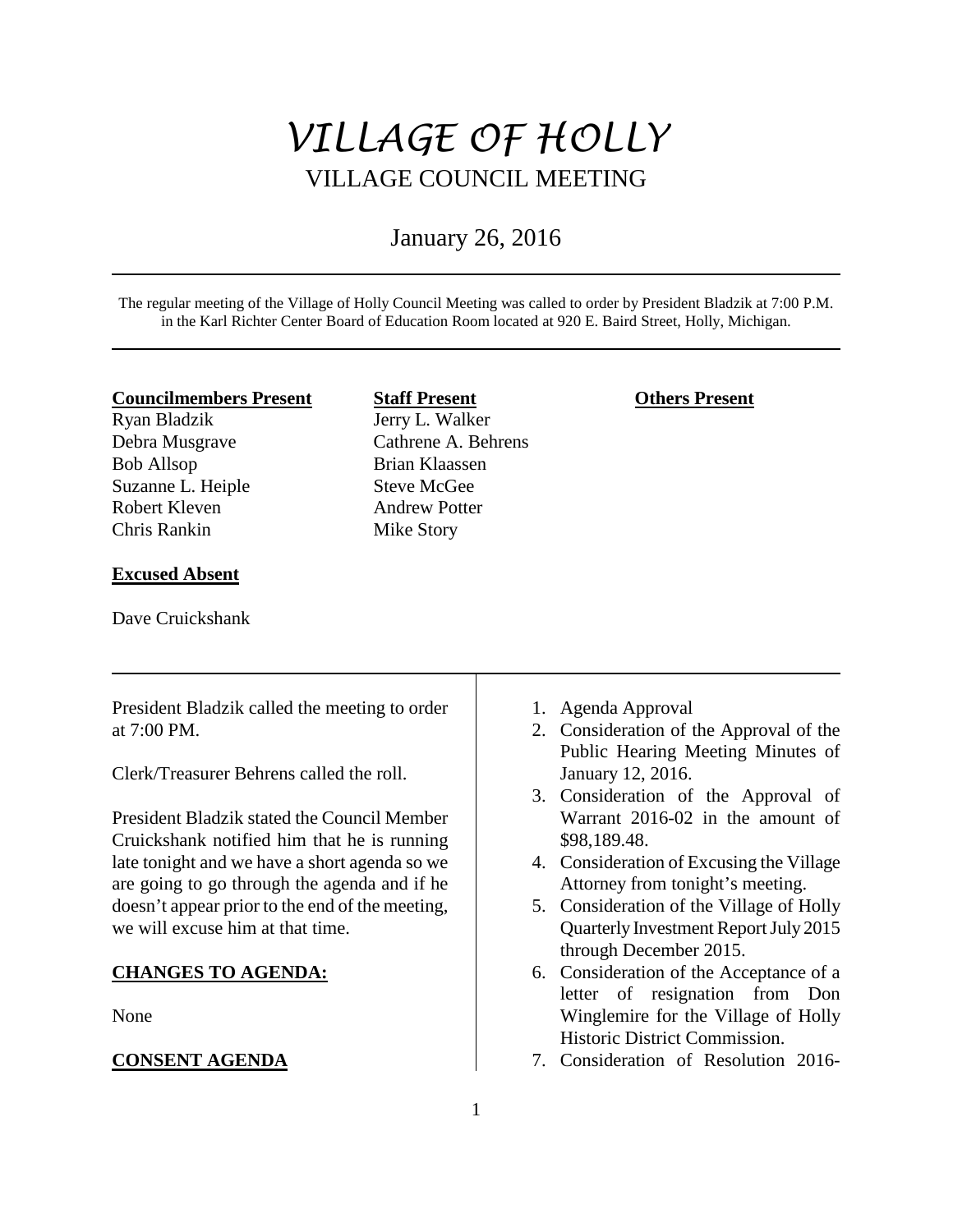# *VILLAGE OF HOLLY* VILLAGE COUNCIL MEETING

# January 26, 2016

The regular meeting of the Village of Holly Council Meeting was called to order by President Bladzik at 7:00 P.M. in the Karl Richter Center Board of Education Room located at 920 E. Baird Street, Holly, Michigan.

## **Councilmembers Present**

Ryan Bladzik Debra Musgrave Bob Allsop Suzanne L. Heiple Robert Kleven Chris Rankin

# **Excused Absent**

Dave Cruickshank

**Staff Present** Jerry L. Walker Cathrene A. Behrens Brian Klaassen Steve McGee Andrew Potter Mike Story

# **Others Present**

| President Bladzik called the meeting to order   | 1. Agenda Approval                       |
|-------------------------------------------------|------------------------------------------|
| at 7:00 PM.                                     | 2. Consideration of the Approval of the  |
|                                                 | Public Hearing Meeting Minutes of        |
| Clerk/Treasurer Behrens called the roll.        | January 12, 2016.                        |
|                                                 | 3. Consideration of the Approval of      |
| President Bladzik stated the Council Member     | Warrant 2016-02 in the amount of         |
| Cruickshank notified him that he is running     | \$98,189.48.                             |
| late tonight and we have a short agenda so we   | 4. Consideration of Excusing the Village |
| are going to go through the agenda and if he    | Attorney from tonight's meeting.         |
| doesn't appear prior to the end of the meeting, | 5. Consideration of the Village of Holly |
| we will excuse him at that time.                | Quarterly Investment Report July 2015    |
|                                                 | through December 2015.                   |
| <b>CHANGES TO AGENDA:</b><br>None               | 6. Consideration of the Acceptance of a  |
|                                                 | letter of resignation from Don           |
|                                                 |                                          |
|                                                 | Winglemire for the Village of Holly      |
|                                                 | Historic District Commission.            |
| <b>CONSENT AGENDA</b>                           | 7. Consideration of Resolution 2016-     |
|                                                 |                                          |
|                                                 |                                          |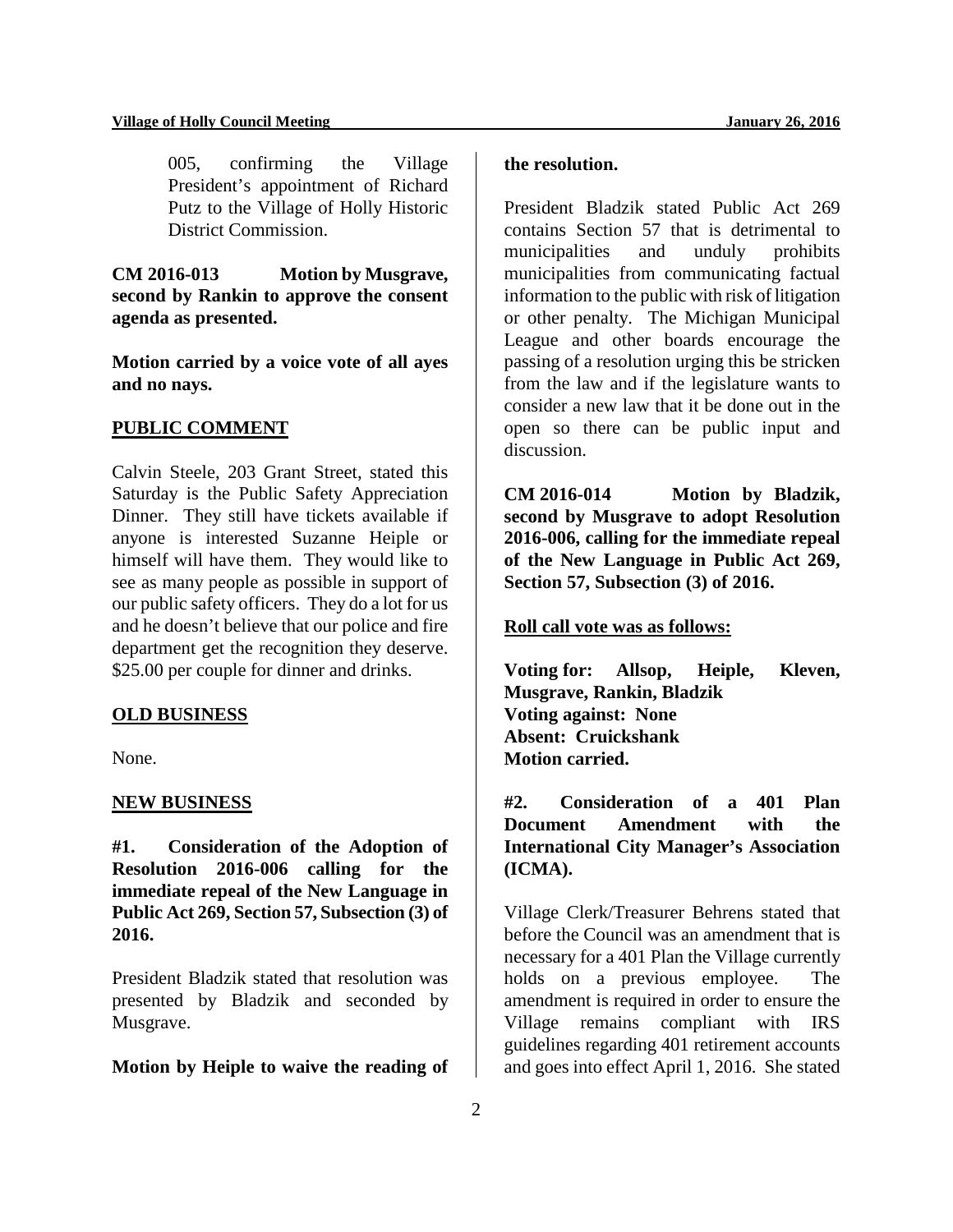005, confirming the Village President's appointment of Richard Putz to the Village of Holly Historic District Commission.

**CM 2016-013 Motion by Musgrave, second by Rankin to approve the consent agenda as presented.** 

**Motion carried by a voice vote of all ayes and no nays.** 

#### **PUBLIC COMMENT**

Calvin Steele, 203 Grant Street, stated this Saturday is the Public Safety Appreciation Dinner. They still have tickets available if anyone is interested Suzanne Heiple or himself will have them. They would like to see as many people as possible in support of our public safety officers. They do a lot for us and he doesn't believe that our police and fire department get the recognition they deserve. \$25.00 per couple for dinner and drinks.

#### **OLD BUSINESS**

None.

#### **NEW BUSINESS**

**#1. Consideration of the Adoption of Resolution 2016-006 calling for the immediate repeal of the New Language in Public Act 269, Section 57, Subsection (3) of 2016.** 

President Bladzik stated that resolution was presented by Bladzik and seconded by Musgrave.

#### **Motion by Heiple to waive the reading of**

# **the resolution.**

President Bladzik stated Public Act 269 contains Section 57 that is detrimental to municipalities and unduly prohibits municipalities from communicating factual information to the public with risk of litigation or other penalty. The Michigan Municipal League and other boards encourage the passing of a resolution urging this be stricken from the law and if the legislature wants to consider a new law that it be done out in the open so there can be public input and discussion.

**CM 2016-014 Motion by Bladzik, second by Musgrave to adopt Resolution 2016-006, calling for the immediate repeal of the New Language in Public Act 269, Section 57, Subsection (3) of 2016.** 

# **Roll call vote was as follows:**

**Voting for: Allsop, Heiple, Kleven, Musgrave, Rankin, Bladzik Voting against: None Absent: Cruickshank Motion carried.** 

**#2. Consideration of a 401 Plan Document Amendment with the International City Manager's Association (ICMA).** 

Village Clerk/Treasurer Behrens stated that before the Council was an amendment that is necessary for a 401 Plan the Village currently holds on a previous employee. The amendment is required in order to ensure the Village remains compliant with IRS guidelines regarding 401 retirement accounts and goes into effect April 1, 2016. She stated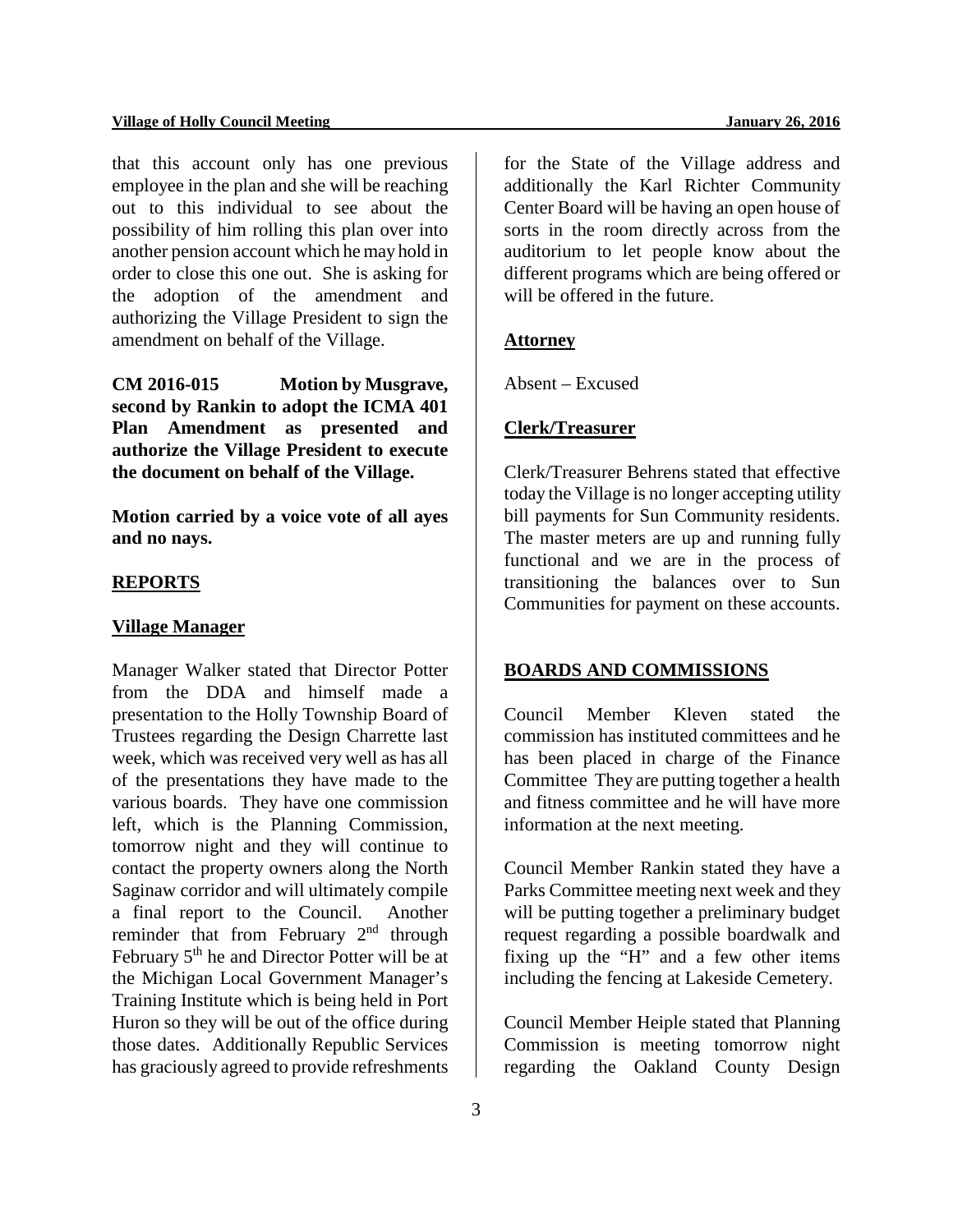#### **Village of Holly Council Meeting January 26, 2016**

that this account only has one previous employee in the plan and she will be reaching out to this individual to see about the possibility of him rolling this plan over into another pension account which he may hold in order to close this one out. She is asking for the adoption of the amendment and authorizing the Village President to sign the amendment on behalf of the Village.

**CM 2016-015 Motion by Musgrave, second by Rankin to adopt the ICMA 401 Plan Amendment as presented and authorize the Village President to execute the document on behalf of the Village.** 

**Motion carried by a voice vote of all ayes and no nays.** 

#### **REPORTS**

#### **Village Manager**

Manager Walker stated that Director Potter from the DDA and himself made a presentation to the Holly Township Board of Trustees regarding the Design Charrette last week, which was received very well as has all of the presentations they have made to the various boards. They have one commission left, which is the Planning Commission, tomorrow night and they will continue to contact the property owners along the North Saginaw corridor and will ultimately compile a final report to the Council. Another reminder that from February 2<sup>nd</sup> through February 5<sup>th</sup> he and Director Potter will be at the Michigan Local Government Manager's Training Institute which is being held in Port Huron so they will be out of the office during those dates. Additionally Republic Services has graciously agreed to provide refreshments

for the State of the Village address and additionally the Karl Richter Community Center Board will be having an open house of sorts in the room directly across from the auditorium to let people know about the different programs which are being offered or will be offered in the future.

#### **Attorney**

Absent – Excused

# **Clerk/Treasurer**

Clerk/Treasurer Behrens stated that effective today the Village is no longer accepting utility bill payments for Sun Community residents. The master meters are up and running fully functional and we are in the process of transitioning the balances over to Sun Communities for payment on these accounts.

# **BOARDS AND COMMISSIONS**

Council Member Kleven stated the commission has instituted committees and he has been placed in charge of the Finance Committee They are putting together a health and fitness committee and he will have more information at the next meeting.

Council Member Rankin stated they have a Parks Committee meeting next week and they will be putting together a preliminary budget request regarding a possible boardwalk and fixing up the "H" and a few other items including the fencing at Lakeside Cemetery.

Council Member Heiple stated that Planning Commission is meeting tomorrow night regarding the Oakland County Design